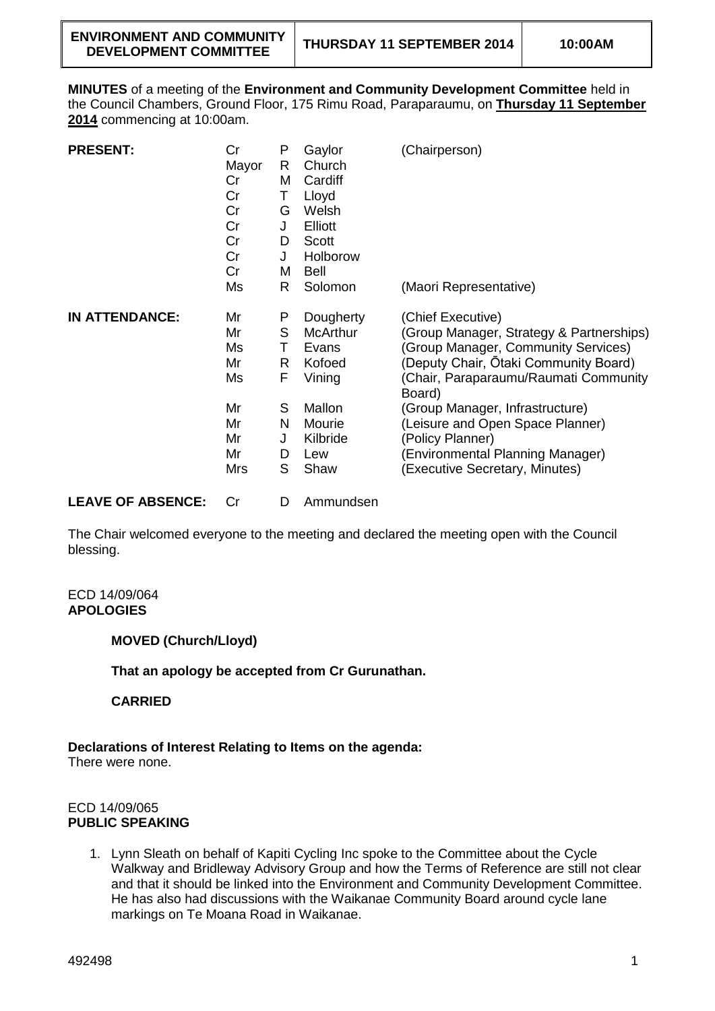**MINUTES** of a meeting of the **Environment and Community Development Committee** held in the Council Chambers, Ground Floor, 175 Rimu Road, Paraparaumu, on **Thursday 11 September 2014** commencing at 10:00am.

| <b>PRESENT:</b>       | Cr<br>Mayor<br>Cr<br>Cr<br>Cr<br>Cr<br>Cr<br>Cr<br>Cr            | P<br>R<br>M<br>Τ<br>G<br>J<br>D<br>J<br>M      | Gaylor<br>Church<br>Cardiff<br>Lloyd<br>Welsh<br><b>Elliott</b><br>Scott<br>Holborow<br>Bell             | (Chairperson)                                                                                                                                                                                                                                                                                                                                                     |
|-----------------------|------------------------------------------------------------------|------------------------------------------------|----------------------------------------------------------------------------------------------------------|-------------------------------------------------------------------------------------------------------------------------------------------------------------------------------------------------------------------------------------------------------------------------------------------------------------------------------------------------------------------|
|                       | Ms                                                               | R                                              | Solomon                                                                                                  | (Maori Representative)                                                                                                                                                                                                                                                                                                                                            |
| <b>IN ATTENDANCE:</b> | Mr<br>Mr<br>Ms<br>Mr<br>Ms<br>Mr<br>Mr<br>Mr<br>Mr<br><b>Mrs</b> | P<br>S<br>Τ<br>R<br>F<br>S<br>N<br>J<br>D<br>S | Dougherty<br><b>McArthur</b><br>Evans<br>Kofoed<br>Vining<br>Mallon<br>Mourie<br>Kilbride<br>Lew<br>Shaw | (Chief Executive)<br>(Group Manager, Strategy & Partnerships)<br>(Group Manager, Community Services)<br>(Deputy Chair, Ōtaki Community Board)<br>(Chair, Paraparaumu/Raumati Community<br>Board)<br>(Group Manager, Infrastructure)<br>(Leisure and Open Space Planner)<br>(Policy Planner)<br>(Environmental Planning Manager)<br>(Executive Secretary, Minutes) |

**LEAVE OF ABSENCE:** Cr D Ammundsen

The Chair welcomed everyone to the meeting and declared the meeting open with the Council blessing.

ECD 14/09/064 **APOLOGIES**

**MOVED (Church/Lloyd)**

**That an apology be accepted from Cr Gurunathan.**

**CARRIED**

**Declarations of Interest Relating to Items on the agenda:**

There were none.

### ECD 14/09/065 **PUBLIC SPEAKING**

1. Lynn Sleath on behalf of Kapiti Cycling Inc spoke to the Committee about the Cycle Walkway and Bridleway Advisory Group and how the Terms of Reference are still not clear and that it should be linked into the Environment and Community Development Committee. He has also had discussions with the Waikanae Community Board around cycle lane markings on Te Moana Road in Waikanae.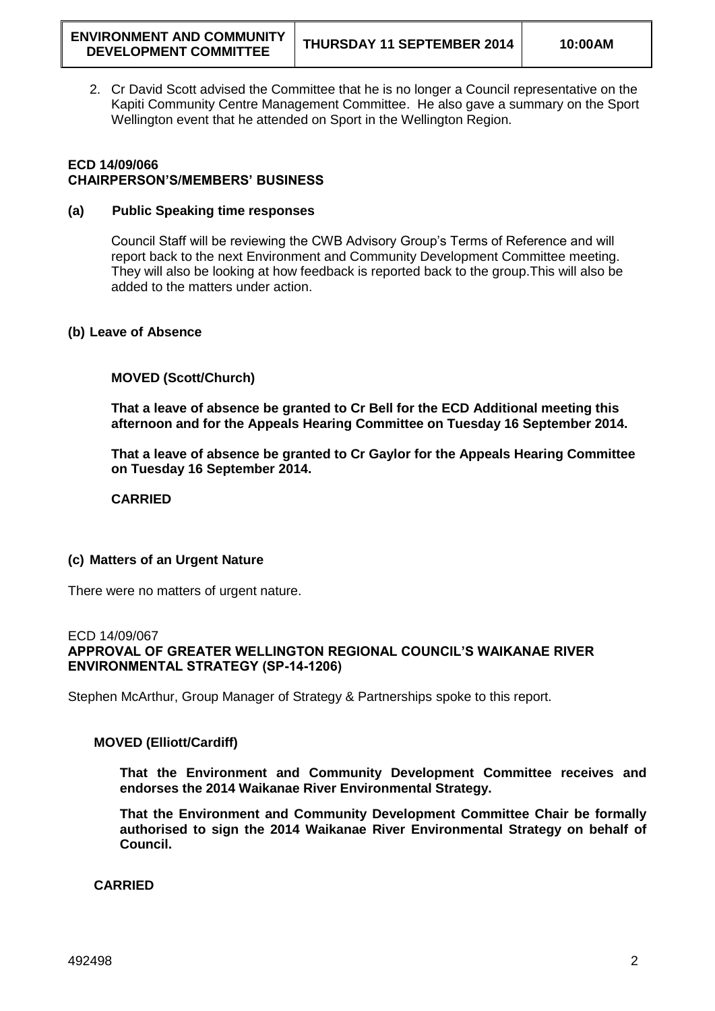2. Cr David Scott advised the Committee that he is no longer a Council representative on the Kapiti Community Centre Management Committee. He also gave a summary on the Sport Wellington event that he attended on Sport in the Wellington Region.

## **ECD 14/09/066 CHAIRPERSON'S/MEMBERS' BUSINESS**

### **(a) Public Speaking time responses**

Council Staff will be reviewing the CWB Advisory Group's Terms of Reference and will report back to the next Environment and Community Development Committee meeting. They will also be looking at how feedback is reported back to the group.This will also be added to the matters under action.

### **(b) Leave of Absence**

### **MOVED (Scott/Church)**

**That a leave of absence be granted to Cr Bell for the ECD Additional meeting this afternoon and for the Appeals Hearing Committee on Tuesday 16 September 2014.**

**That a leave of absence be granted to Cr Gaylor for the Appeals Hearing Committee on Tuesday 16 September 2014.**

**CARRIED**

# **(c) Matters of an Urgent Nature**

There were no matters of urgent nature.

#### ECD 14/09/067

**APPROVAL OF GREATER WELLINGTON REGIONAL COUNCIL'S WAIKANAE RIVER ENVIRONMENTAL STRATEGY (SP-14-1206)**

Stephen McArthur, Group Manager of Strategy & Partnerships spoke to this report.

#### **MOVED (Elliott/Cardiff)**

**That the Environment and Community Development Committee receives and endorses the 2014 Waikanae River Environmental Strategy.**

**That the Environment and Community Development Committee Chair be formally authorised to sign the 2014 Waikanae River Environmental Strategy on behalf of Council.** 

**CARRIED**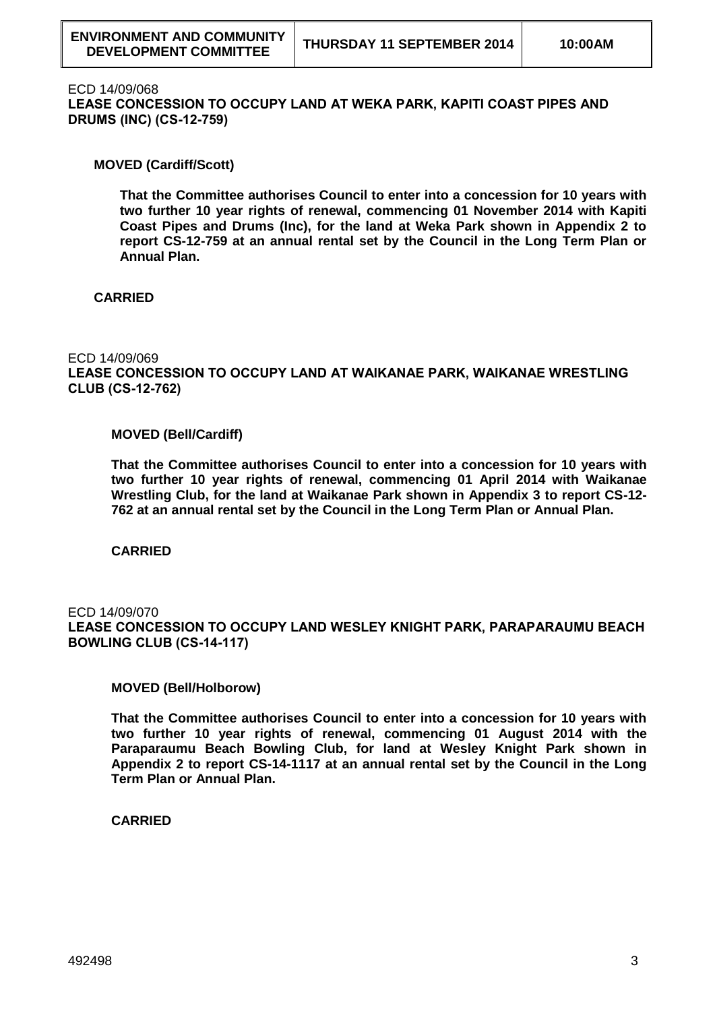#### ECD 14/09/068

**LEASE CONCESSION TO OCCUPY LAND AT WEKA PARK, KAPITI COAST PIPES AND DRUMS (INC) (CS-12-759)**

### **MOVED (Cardiff/Scott)**

**That the Committee authorises Council to enter into a concession for 10 years with two further 10 year rights of renewal, commencing 01 November 2014 with Kapiti Coast Pipes and Drums (Inc), for the land at Weka Park shown in Appendix 2 to report CS-12-759 at an annual rental set by the Council in the Long Term Plan or Annual Plan.**

## **CARRIED**

# ECD 14/09/069

**LEASE CONCESSION TO OCCUPY LAND AT WAIKANAE PARK, WAIKANAE WRESTLING CLUB (CS-12-762)**

#### **MOVED (Bell/Cardiff)**

**That the Committee authorises Council to enter into a concession for 10 years with two further 10 year rights of renewal, commencing 01 April 2014 with Waikanae Wrestling Club, for the land at Waikanae Park shown in Appendix 3 to report CS-12- 762 at an annual rental set by the Council in the Long Term Plan or Annual Plan.**

**CARRIED**

## ECD 14/09/070 **LEASE CONCESSION TO OCCUPY LAND WESLEY KNIGHT PARK, PARAPARAUMU BEACH BOWLING CLUB (CS-14-117)**

#### **MOVED (Bell/Holborow)**

**That the Committee authorises Council to enter into a concession for 10 years with two further 10 year rights of renewal, commencing 01 August 2014 with the Paraparaumu Beach Bowling Club, for land at Wesley Knight Park shown in Appendix 2 to report CS-14-1117 at an annual rental set by the Council in the Long Term Plan or Annual Plan.**

**CARRIED**